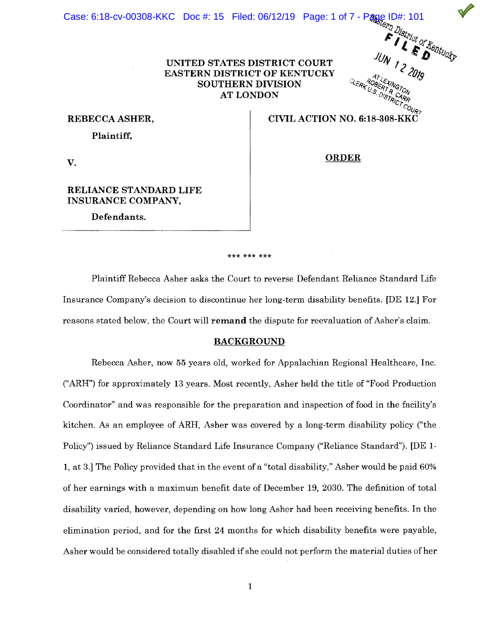Case: 6:18-cv-00308-KKC Doc #: 15 Filed: 06/12/19 Page: 1 of 7 - Page ID#: 101

### **UNITED STATES DISTRICT COURT EASTERN DISTRICT OF KENTUCKY SOUTHERN DIVISION AT LONDON**

### **REBECCA ASHER,**

**Plaintiff,** 

# CIVIL ACTION NO. 6:18-308-KKC

CLERK U.S.

**ORDER** 

**V.** 

### **RELIANCE STANDARD LIFE INSURANCE COMPANY,**

**Defendants.** 

#### \*\*\* \*\*\* \*\*\*

Plaintiff Rebecca Asher asks the Court to reverse Defendant Reliance Standard Life Insurance Company's decision to discontinue her long-term disability benefits. [DE 12.] For reasons stated below, the Court will **remand** the dispute for reevaluation of Asher's claim.

### **BACKGROUND**

Rebecca Asher, now 55 years old, worked for Appalachian Regional Healthcare, Inc. ("ARH") for approximately 13 years. Most recently, Asher held the title of "Food Production Coordinator" and was responsible for the preparation and inspection of food in the facility's kitchen. As an employee of ARH, Asher was covered by a long-term disability policy ("the Policy") issued by Reliance Standard Life Insurance Company ("Reliance Standard"). [DE 1- **1,** at 3.] The Policy provided that in the event of a "total disability," Asher would be paid 60% of her earnings with a maximum benefit date of December 19, 2030. The definition of total disability varied, however, depending on how long Asher had been receiving benefits. In the elimination period, and for the first 24 months for which disability benefits were payable, Asher would be considered totally disabled if she could not perform the material duties of her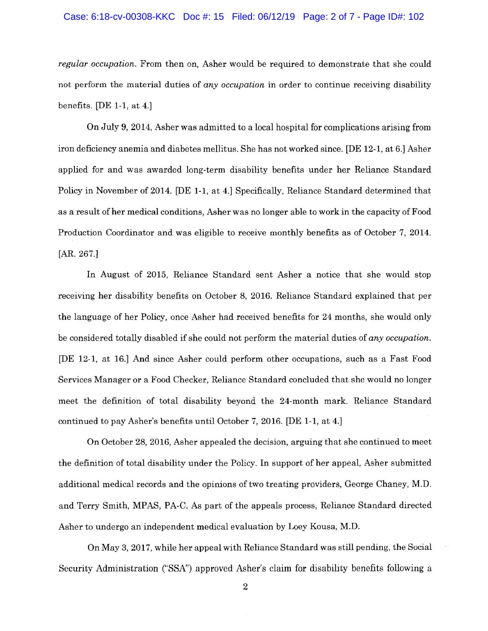#### Case: 6:18-cv-00308-KKC Doc #: 15 Filed: 06/12/19 Page: 2 of 7 - Page ID#: 102

*regular occupation.* From then on, Asher would be required to demonstrate that she could not perform the material duties of *any occupation* in order to continue receiving disability benefits. [DE 1-1, at 4.]

On July 9, 2014, Asher was admitted to a local hospital for complications arising from iron deficiency anemia and diabetes mellitus. She has not worked since. [DE 12-1, at 6.] Asher applied for and was awarded long-term disability benefits under her Reliance Standard Policy in November of 2014. [DE 1-1, at 4.] Specifically, Reliance Standard determined that as a result of her medical conditions, Asher was no longer able to work in the capacity of Food Production Coordinator and was eligible to receive monthly benefits as of October 7, 2014. [AR. 267.]

In August of 2015, Reliance Standard sent Asher a notice that she would stop receiving her disability benefits on October 8, 2016. Reliance Standard explained that per the language of her Policy, once Asher had received benefits for 24 months, she would only be considered totally disabled if she could not perform the material duties of *any occupation.*  [DE 12-1, at 16.] And since Asher could perform other occupations, such as a Fast Food Services Manager or a Food Checker, Reliance Standard concluded that she would no longer meet the definition of total disability beyond the 24-month mark. Reliance Standard continued to pay Asher's benefits until October 7, 2016. [DE 1-1, at 4.]

On October 28, 2016, Asher appealed the decision, arguing that she continued to meet the definition of total disability under the Policy. In support of her appeal, Asher submitted additional medical records and the opinions of two treating providers, George Chaney, M.D. and Terry Smith, MPAS, PA-C. As part of the appeals process, Reliance Standard directed Asher to undergo an independent medical evaluation by Loey Kousa, M.D.

On May 3, 2017, while her appeal with Reliance Standard was still pending, the Social Security Administration ("SSA") approved Asher's claim for disability benefits following a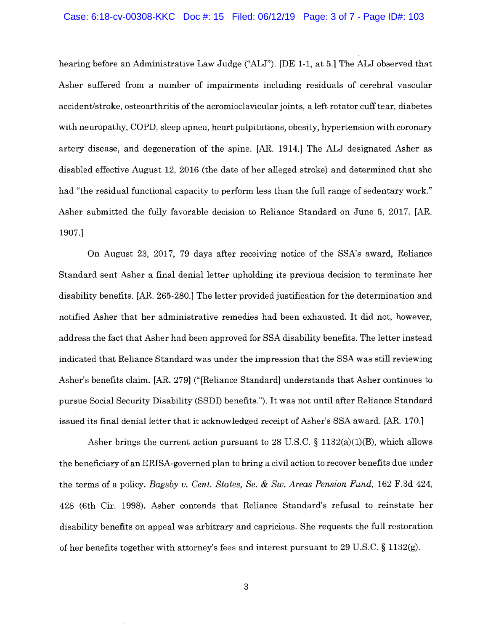hearing before an Administrative Law Judge ("ALJ"). [DE 1-1, at 5.] The ALJ observed that Asher suffered from a number of impairments including residuals of cerebral vascular accident/stroke, osteoarthritis of the acromioclavicular joints, a left rotator cuff tear, diabetes with neuropathy, COPD, sleep apnea, heart palpitations, obesity, hypertension with coronary artery disease, and degeneration of the spine. [AR. 1914.] The ALJ designated Asher as disabled effective August 12, 2016 (the date of her alleged stroke) and determined that she had "the residual functional capacity to perform less than the full range of sedentary work." Asher submitted the fully favorable decision to Reliance Standard on June 5, 2017. [AR. 1907.]

On August 23, 2017, 79 days after receiving notice of the SSA's award, Reliance Standard sent Asher a final denial letter upholding its previous decision to terminate her disability benefits. [AR. 265-280.] The letter provided justification for the determination and notified Asher that her administrative remedies had been exhausted. It did not, however, address the fact that Asher had been approved for SSA disability benefits. The letter instead indicated that Reliance Standard was under the impression that the SSA was still reviewing Asher's benefits claim. [AR. 279] ("[Reliance Standard] understands that Asher continues to pursue Social Security Disability (SSDI) benefits."). It was not until after Reliance Standard issued its final denial letter that it acknowledged receipt of Asher's SSA award. [AR. 170.)

Asher brings the current action pursuant to 28 U.S.C.  $\S$  1132(a)(1)(B), which allows the beneficiary of an ERISA-governed plan to bring a civil action to recover benefits due under the terms of a policy. *Bagsby v. Cent. States, Se.* & *Sw. Areas Pension Fund,* 162 F.3d 424, 428 (6th Cir. 1998). Asher contends that Reliance Standard's refusal to reinstate her disability benefits on appeal was arbitrary and capricious. She requests the full restoration of her benefits together with attorney's fees and interest pursuant to 29 U.S.C. § 1132(g).

3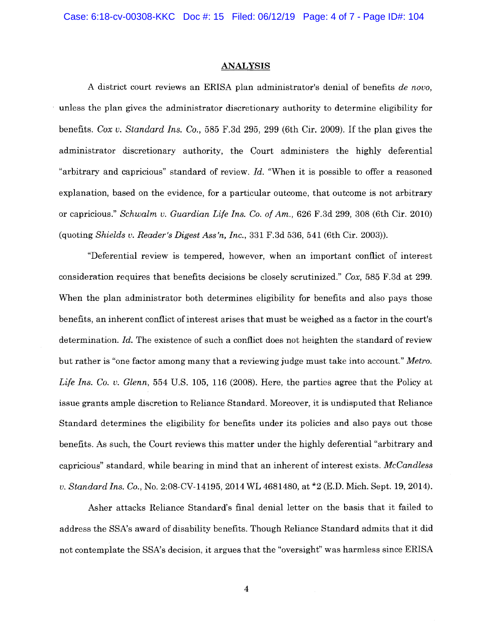#### **ANALYSIS**

A district court reviews an ERISA plan administrator's denial of benefits *de novo,*  unless the plan gives the administrator discretionary authority to determine eligibility for benefits. *Cox v. Standard Ins. Co.,* 585 F.3d 295, 299 (6th Cir. 2009). If the plan gives the administrator discretionary authority, the Court administers the highly deferential "arbitrary and capricious" standard of review. *Id.* "When it is possible to offer a reasoned explanation, based on the evidence, for a particular outcome, that outcome is not arbitrary or capricious." *Schwalm v. Guardian Life Ins. Co. of Am.,* 626 F.3d 299, 308 (6th Cir. 2010) (quoting *Shields v. Reader's Digest Ass 'n, Inc.,* 331 F.3d 536, 541 (6th Cir. 2003)).

"Deferential review is tempered, however, when an important conflict of interest consideration requires that benefits decisions be closely scrutinized." *Cox,* 585 F.3d at 299. When the plan administrator both determines eligibility for benefits and also pays those benefits, an inherent conflict of interest arises that must be weighed as a factor in the court's determination. *Id.* The existence of such a conflict does not heighten the standard of review but rather is "one factor among many that a reviewing judge must take into account." *Metro. Life Ins. Co. v. Glenn,* 554 U.S. 105, 116 (2008). Here, the parties agree that the Policy at issue grants ample discretion to Reliance Standard. Moreover, it is undisputed that Reliance Standard determines the eligibility for benefits under its policies and also pays out those benefits. As such, the Court reviews this matter under the highly deferential "arbitrary and capricious" standard, while bearing in mind that an inherent of interest exists. *McCandless u. Standard Ins. Co.,* No. 2:08-CV-14195, 2014 WL 4681480, at \*2 (E.D. Mich. Sept. 19, 2014).

Asher attacks Reliance Standard's final denial letter on the basis that it failed to address the SSA's award of disability benefits. Though Reliance Standard admits that it did not contemplate the SSA's decision, it argues that the "oversight" was harmless since ERISA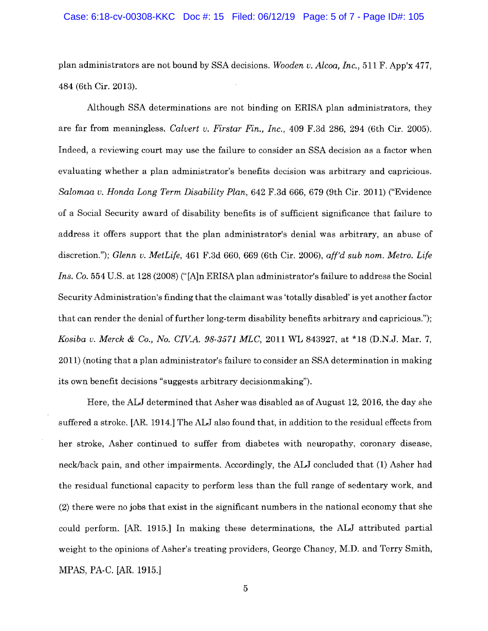#### Case: 6:18-cv-00308-KKC Doc #: 15 Filed: 06/12/19 Page: 5 of 7 - Page ID#: 105

plan administrators are not bound by SSA decisions. *Wooden v. Alcoa, Inc.,* 511 F. App'x 477, 484 (6th Cir. 2013).

Although SSA determinations are not binding on ERISA plan administrators, they are far from meaningless. *Calvert v. Firstar Fin., Inc.,* 409 F.3d 286, 294 (6th Cir. 2005). Indeed, a reviewing court may use the failure to consider an SSA decision as a factor when evaluating whether a plan administrator's benefits decision was arbitrary and capricious. *Salomaa v. Honda Long Term Disability Plan,* 642 F.3d 666, 679 (9th Cir. 2011) ("Evidence of a Social Security award of disability benefits is of sufficient significance that failure to address it offers support that the plan administrator's denial was arbitrary, an abuse of discretion."); *Glenn v. MetLife,* 461 F.3d 660, 669 (6th Cir. 2006), *aff'd sub nom. Metro. Life Ins. Co.* 554 U.S. at 128 (2008) ("[A]n ERISA plan administrator's failure to address the Social Security Administration's finding that the claimant was 'totally disabled' is yet another factor that can render the denial of further long-term disability benefits arbitrary and capricious."); *Kosiba v. Merck* & *Co., No. CIV.A. 98-3571 MLC,* 2011 WL 843927, at \*18 (D.N.J. Mar. 7, 2011) (noting that a plan administrator's failure to consider an SSA determination in making its own benefit decisions "suggests arbitrary decisionmaking").

Here, the ALJ determined that Asher was disabled as of August 12, 2016, the day she suffered a stroke. [AR. 1914.] The ALJ also found that, in addition to the residual effects from her stroke, Asher continued to suffer from diabetes with neuropathy, coronary disease, neck/back pain, and other impairments. Accordingly, the ALJ concluded that **(1)** Asher had the residual functional capacity to perform less than the full range of sedentary work, and (2) there were no jobs that exist in the significant numbers in the national economy that she could perform. [AR. 1915.] In making these determinations, the ALJ attributed partial weight to the opinions of Asher's treating providers, George Chaney, **M.D.** and Terry Smith, MPAS, PA-C. [AR. 1915.]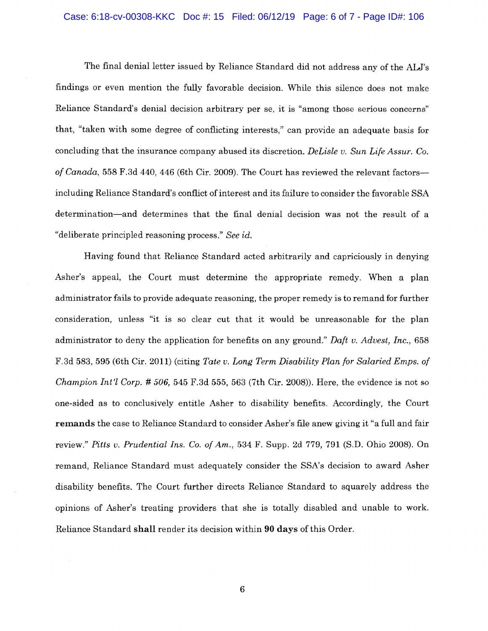### Case: 6:18-cv-00308-KKC Doc #: 15 Filed: 06/12/19 Page: 6 of 7 - Page ID#: 106

The final denial letter issued by Reliance Standard did not address any of the ALJ's findings or even mention the fully favorable decision. While this silence does not make Reliance Standard's denial decision arbitrary per se, it is "among those serious concerns" that, "taken with some degree of conflicting interests," can provide an adequate basis for concluding that the insurance company abused its discretion. *Delisle v. Sun Life Assur. Co. of Canada,* 558 F.3d 440, 446 (6th Cir. 2009). The Court has reviewed the relevant factorsincluding Reliance Standard's conflict of interest and its failure to consider the favorable SSA determination-and determines that the final denial decision was not the result of a "deliberate principled reasoning process." *See id.* 

Having found that Reliance Standard acted arbitrarily and capriciously in denying Asher's appeal, the Court must determine the appropriate remedy. When a plan administrator fails to provide adequate reasoning, the proper remedy is to remand for further consideration, unless "it is so clear cut that it would be unreasonable for the plan administrator to deny the application for benefits on any ground." *Daft v. Advest, Inc.,* 658 F.3d 583, 595 (6th Cir. 2011) (citing *Tate v. Long Term Disability Plan for Salaried Emps. of Champion lnt'l Corp.* # *506,* 545 F.3d 555, 563 (7th Cir. 2008)). Here, the evidence is not so one-sided as to conclusively entitle Asher to disability benefits. Accordingly, the Court **remands** the case to Reliance Standard to consider Asher's file anew giving it "a full and fair review." *Pitts v. Prudential Ins.* Co. *of Am.,* 534 F. Supp. 2d 779, 791 (S.D. Ohio 2008). On remand, Reliance Standard must adequately consider the SSA's decision to award Asher disability benefits. The Court further directs Reliance Standard to squarely address the opinions of Asher's treating providers that she is totally disabled and unable to work. Reliance Standard **shall** render its decision within **90 days** of this Order.